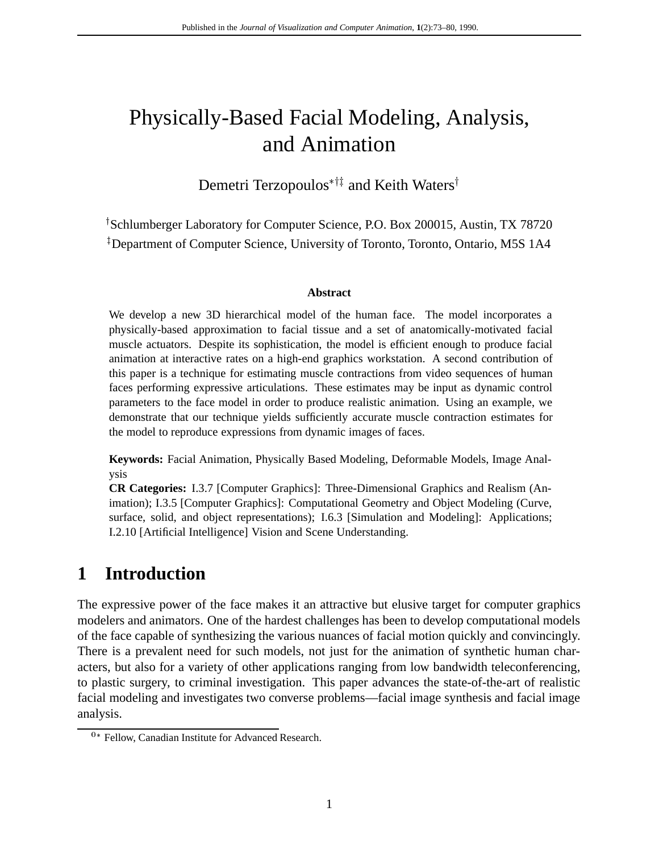# Physically-Based Facial Modeling, Analysis, and Animation

Demetri Terzopoulos $*$ <sup>†‡</sup> and Keith Waters<sup>†</sup>

<sup>†</sup>Schlumberger Laboratory for Computer Science, P.O. Box 200015, Austin, TX 78720 <sup>‡</sup>Department of Computer Science, University of Toronto, Toronto, Ontario, M5S 1A4

#### **Abstract**

We develop a new 3D hierarchical model of the human face. The model incorporates a physically-based approximation to facial tissue and a set of anatomically-motivated facial muscle actuators. Despite its sophistication, the model is efficient enough to produce facial animation at interactive rates on a high-end graphics workstation. A second contribution of this paper is a technique for estimating muscle contractions from video sequences of human faces performing expressive articulations. These estimates may be input as dynamic control parameters to the face model in order to produce realistic animation. Using an example, we demonstrate that our technique yields sufficiently accurate muscle contraction estimates for the model to reproduce expressions from dynamic images of faces.

**Keywords:** Facial Animation, Physically Based Modeling, Deformable Models, Image Analysis

**CR Categories:** I.3.7 [Computer Graphics]: Three-Dimensional Graphics and Realism (Animation); I.3.5 [Computer Graphics]: Computational Geometry and Object Modeling (Curve, surface, solid, and object representations); I.6.3 [Simulation and Modeling]: Applications; I.2.10 [Artificial Intelligence] Vision and Scene Understanding.

# **1 Introduction**

The expressive power of the face makes it an attractive but elusive target for computer graphics modelers and animators. One of the hardest challenges has been to develop computational models of the face capable of synthesizing the various nuances of facial motion quickly and convincingly. There is a prevalent need for such models, not just for the animation of synthetic human characters, but also for a variety of other applications ranging from low bandwidth teleconferencing, to plastic surgery, to criminal investigation. This paper advances the state-of-the-art of realistic facial modeling and investigates two converse problems—facial image synthesis and facial image analysis.

<sup>&</sup>lt;sup>0\*</sup> Fellow, Canadian Institute for Advanced Research.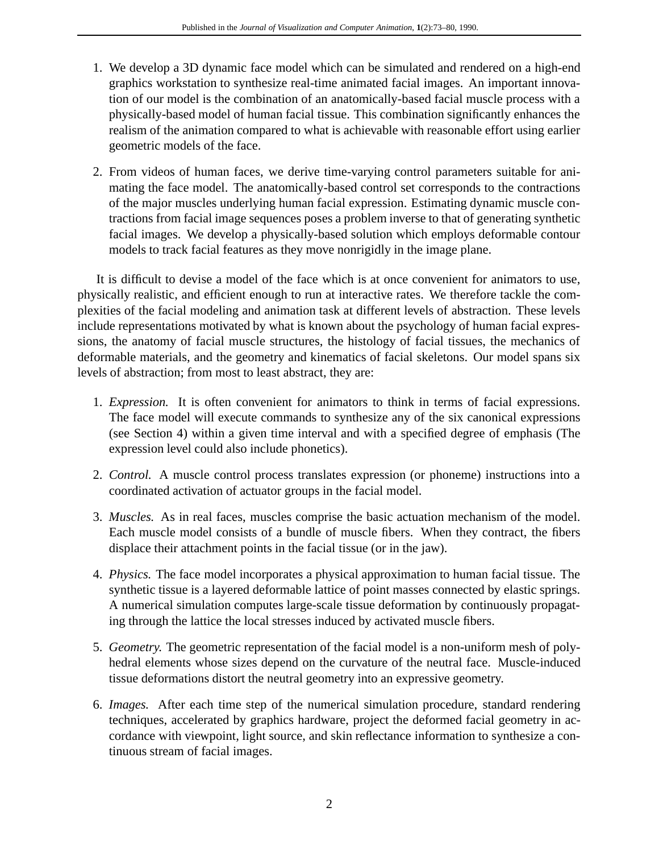- 1. We develop a 3D dynamic face model which can be simulated and rendered on a high-end graphics workstation to synthesize real-time animated facial images. An important innovation of our model is the combination of an anatomically-based facial muscle process with a physically-based model of human facial tissue. This combination significantly enhances the realism of the animation compared to what is achievable with reasonable effort using earlier geometric models of the face.
- 2. From videos of human faces, we derive time-varying control parameters suitable for animating the face model. The anatomically-based control set corresponds to the contractions of the major muscles underlying human facial expression. Estimating dynamic muscle contractions from facial image sequences poses a problem inverse to that of generating synthetic facial images. We develop a physically-based solution which employs deformable contour models to track facial features as they move nonrigidly in the image plane.

It is difficult to devise a model of the face which is at once convenient for animators to use, physically realistic, and efficient enough to run at interactive rates. We therefore tackle the complexities of the facial modeling and animation task at different levels of abstraction. These levels include representations motivated by what is known about the psychology of human facial expressions, the anatomy of facial muscle structures, the histology of facial tissues, the mechanics of deformable materials, and the geometry and kinematics of facial skeletons. Our model spans six levels of abstraction; from most to least abstract, they are:

- 1. *Expression.* It is often convenient for animators to think in terms of facial expressions. The face model will execute commands to synthesize any of the six canonical expressions (see Section 4) within a given time interval and with a specified degree of emphasis (The expression level could also include phonetics).
- 2. *Control.* A muscle control process translates expression (or phoneme) instructions into a coordinated activation of actuator groups in the facial model.
- 3. *Muscles.* As in real faces, muscles comprise the basic actuation mechanism of the model. Each muscle model consists of a bundle of muscle fibers. When they contract, the fibers displace their attachment points in the facial tissue (or in the jaw).
- 4. *Physics.* The face model incorporates a physical approximation to human facial tissue. The synthetic tissue is a layered deformable lattice of point masses connected by elastic springs. A numerical simulation computes large-scale tissue deformation by continuously propagating through the lattice the local stresses induced by activated muscle fibers.
- 5. *Geometry.* The geometric representation of the facial model is a non-uniform mesh of polyhedral elements whose sizes depend on the curvature of the neutral face. Muscle-induced tissue deformations distort the neutral geometry into an expressive geometry.
- 6. *Images.* After each time step of the numerical simulation procedure, standard rendering techniques, accelerated by graphics hardware, project the deformed facial geometry in accordance with viewpoint, light source, and skin reflectance information to synthesize a continuous stream of facial images.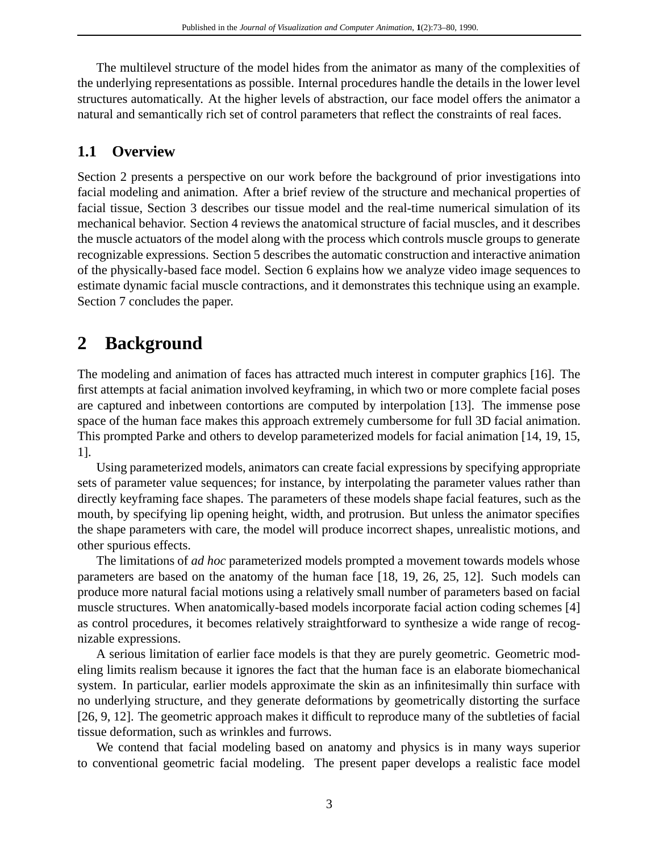The multilevel structure of the model hides from the animator as many of the complexities of the underlying representations as possible. Internal procedures handle the details in the lower level structures automatically. At the higher levels of abstraction, our face model offers the animator a natural and semantically rich set of control parameters that reflect the constraints of real faces.

### **1.1 Overview**

Section 2 presents a perspective on our work before the background of prior investigations into facial modeling and animation. After a brief review of the structure and mechanical properties of facial tissue, Section 3 describes our tissue model and the real-time numerical simulation of its mechanical behavior. Section 4 reviews the anatomical structure of facial muscles, and it describes the muscle actuators of the model along with the process which controls muscle groups to generate recognizable expressions. Section 5 describes the automatic construction and interactive animation of the physically-based face model. Section 6 explains how we analyze video image sequences to estimate dynamic facial muscle contractions, and it demonstrates this technique using an example. Section 7 concludes the paper.

# **2 Background**

The modeling and animation of faces has attracted much interest in computer graphics [16]. The first attempts at facial animation involved keyframing, in which two or more complete facial poses are captured and inbetween contortions are computed by interpolation [13]. The immense pose space of the human face makes this approach extremely cumbersome for full 3D facial animation. This prompted Parke and others to develop parameterized models for facial animation [14, 19, 15, 1].

Using parameterized models, animators can create facial expressions by specifying appropriate sets of parameter value sequences; for instance, by interpolating the parameter values rather than directly keyframing face shapes. The parameters of these models shape facial features, such as the mouth, by specifying lip opening height, width, and protrusion. But unless the animator specifies the shape parameters with care, the model will produce incorrect shapes, unrealistic motions, and other spurious effects.

The limitations of *ad hoc* parameterized models prompted a movement towards models whose parameters are based on the anatomy of the human face [18, 19, 26, 25, 12]. Such models can produce more natural facial motions using a relatively small number of parameters based on facial muscle structures. When anatomically-based models incorporate facial action coding schemes [4] as control procedures, it becomes relatively straightforward to synthesize a wide range of recognizable expressions.

A serious limitation of earlier face models is that they are purely geometric. Geometric modeling limits realism because it ignores the fact that the human face is an elaborate biomechanical system. In particular, earlier models approximate the skin as an infinitesimally thin surface with no underlying structure, and they generate deformations by geometrically distorting the surface [26, 9, 12]. The geometric approach makes it difficult to reproduce many of the subtleties of facial tissue deformation, such as wrinkles and furrows.

We contend that facial modeling based on anatomy and physics is in many ways superior to conventional geometric facial modeling. The present paper develops a realistic face model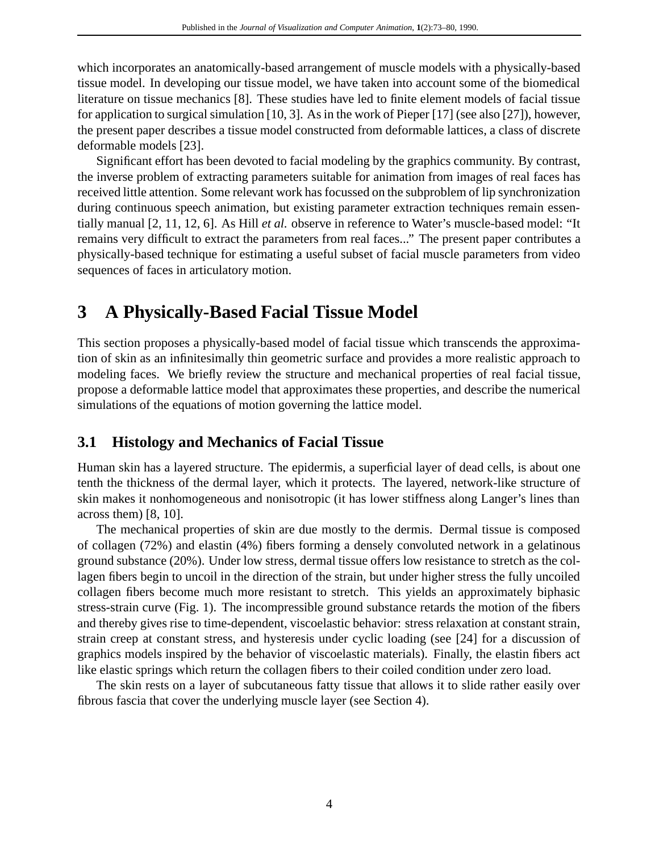which incorporates an anatomically-based arrangement of muscle models with a physically-based tissue model. In developing our tissue model, we have taken into account some of the biomedical literature on tissue mechanics [8]. These studies have led to finite element models of facial tissue for application to surgical simulation [10, 3]. As in the work of Pieper [17] (see also [27]), however, the present paper describes a tissue model constructed from deformable lattices, a class of discrete deformable models [23].

Significant effort has been devoted to facial modeling by the graphics community. By contrast, the inverse problem of extracting parameters suitable for animation from images of real faces has received little attention. Some relevant work has focussed on the subproblem of lip synchronization during continuous speech animation, but existing parameter extraction techniques remain essentially manual [2, 11, 12, 6]. As Hill *et al.* observe in reference to Water's muscle-based model: "It remains very difficult to extract the parameters from real faces..." The present paper contributes a physically-based technique for estimating a useful subset of facial muscle parameters from video sequences of faces in articulatory motion.

# **3 A Physically-Based Facial Tissue Model**

This section proposes a physically-based model of facial tissue which transcends the approximation of skin as an infinitesimally thin geometric surface and provides a more realistic approach to modeling faces. We briefly review the structure and mechanical properties of real facial tissue, propose a deformable lattice model that approximates these properties, and describe the numerical simulations of the equations of motion governing the lattice model.

### **3.1 Histology and Mechanics of Facial Tissue**

Human skin has a layered structure. The epidermis, a superficial layer of dead cells, is about one tenth the thickness of the dermal layer, which it protects. The layered, network-like structure of skin makes it nonhomogeneous and nonisotropic (it has lower stiffness along Langer's lines than across them) [8, 10].

The mechanical properties of skin are due mostly to the dermis. Dermal tissue is composed of collagen (72%) and elastin (4%) fibers forming a densely convoluted network in a gelatinous ground substance (20%). Under low stress, dermal tissue offers low resistance to stretch as the collagen fibers begin to uncoil in the direction of the strain, but under higher stress the fully uncoiled collagen fibers become much more resistant to stretch. This yields an approximately biphasic stress-strain curve (Fig. 1). The incompressible ground substance retards the motion of the fibers and thereby gives rise to time-dependent, viscoelastic behavior: stress relaxation at constant strain, strain creep at constant stress, and hysteresis under cyclic loading (see [24] for a discussion of graphics models inspired by the behavior of viscoelastic materials). Finally, the elastin fibers act like elastic springs which return the collagen fibers to their coiled condition under zero load.

The skin rests on a layer of subcutaneous fatty tissue that allows it to slide rather easily over fibrous fascia that cover the underlying muscle layer (see Section 4).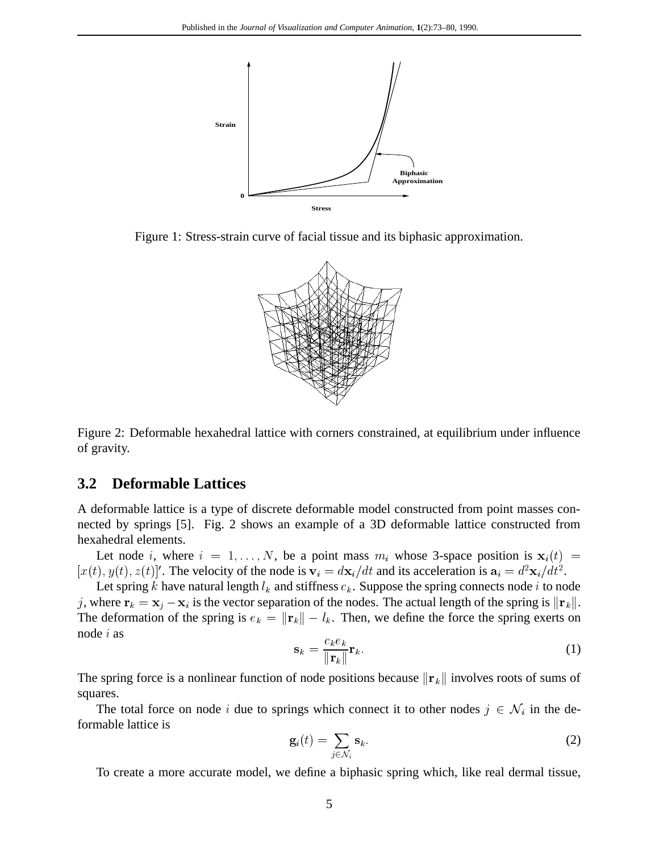

Figure 1: Stress-strain curve of facial tissue and its biphasic approximation.



Figure 2: Deformable hexahedral lattice with corners constrained, at equilibrium under influence of gravity.

#### **3.2 Deformable Lattices**

A deformable lattice is a type of discrete deformable model constructed from point masses connected by springs [5]. Fig. 2 shows an example of a 3D deformable lattice constructed from hexahedral elements.

Let node i, where  $i = 1, \ldots, N$ , be a point mass  $m_i$  whose 3-space position is  $x_i(t)$  =  $[x(t), y(t), z(t)]'$ . The velocity of the node is  $v_i = dx_i/dt$  and its acceleration is  $a_i = d^2x_i/dt^2$ .

Let spring k have natural length  $l_k$  and stiffness  $c_k$ . Suppose the spring connects node i to node j, where  $\mathbf{r}_k = \mathbf{x}_i - \mathbf{x}_i$  is the vector separation of the nodes. The actual length of the spring is  $\|\mathbf{r}_k\|$ . The deformation of the spring is  $e_k = ||\mathbf{r}_k|| - l_k$ . Then, we define the force the spring exerts on node <sup>i</sup> as

$$
\mathbf{s}_k = \frac{c_k e_k}{\|\mathbf{r}_k\|} \mathbf{r}_k. \tag{1}
$$

The spring force is a nonlinear function of node positions because  $\|\mathbf{r}_k\|$  involves roots of sums of squares.

The total force on node i due to springs which connect it to other nodes  $j \in \mathcal{N}_i$  in the deformable lattice is

$$
\mathbf{g}_i(t) = \sum_{j \in \mathcal{N}_i} \mathbf{s}_k. \tag{2}
$$

To create a more accurate model, we define a biphasic spring which, like real dermal tissue,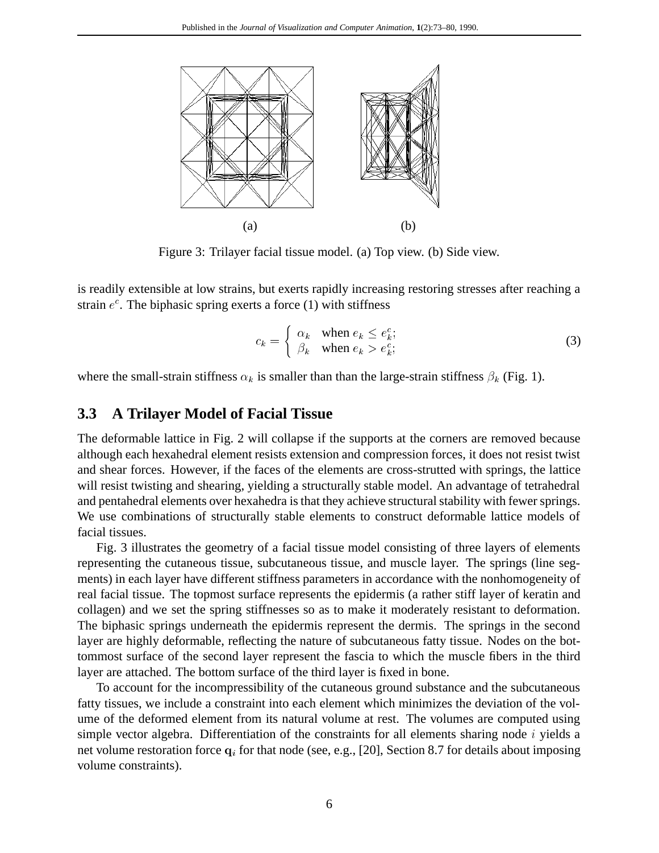

Figure 3: Trilayer facial tissue model. (a) Top view. (b) Side view.

is readily extensible at low strains, but exerts rapidly increasing restoring stresses after reaching a strain  $e^c$ . The biphasic spring exerts a force (1) with stiffness

$$
c_k = \begin{cases} \alpha_k & \text{when } e_k \le e_k^c; \\ \beta_k & \text{when } e_k > e_k^c; \end{cases}
$$
 (3)

where the small-strain stiffness  $\alpha_k$  is smaller than than the large-strain stiffness  $\beta_k$  (Fig. 1).

#### **3.3 A Trilayer Model of Facial Tissue**

The deformable lattice in Fig. 2 will collapse if the supports at the corners are removed because although each hexahedral element resists extension and compression forces, it does not resist twist and shear forces. However, if the faces of the elements are cross-strutted with springs, the lattice will resist twisting and shearing, yielding a structurally stable model. An advantage of tetrahedral and pentahedral elements over hexahedra is that they achieve structural stability with fewer springs. We use combinations of structurally stable elements to construct deformable lattice models of facial tissues.

Fig. 3 illustrates the geometry of a facial tissue model consisting of three layers of elements representing the cutaneous tissue, subcutaneous tissue, and muscle layer. The springs (line segments) in each layer have different stiffness parameters in accordance with the nonhomogeneity of real facial tissue. The topmost surface represents the epidermis (a rather stiff layer of keratin and collagen) and we set the spring stiffnesses so as to make it moderately resistant to deformation. The biphasic springs underneath the epidermis represent the dermis. The springs in the second layer are highly deformable, reflecting the nature of subcutaneous fatty tissue. Nodes on the bottommost surface of the second layer represent the fascia to which the muscle fibers in the third layer are attached. The bottom surface of the third layer is fixed in bone.

To account for the incompressibility of the cutaneous ground substance and the subcutaneous fatty tissues, we include a constraint into each element which minimizes the deviation of the volume of the deformed element from its natural volume at rest. The volumes are computed using simple vector algebra. Differentiation of the constraints for all elements sharing node  $i$  yields a net volume restoration force  $q_i$  for that node (see, e.g., [20], Section 8.7 for details about imposing volume constraints).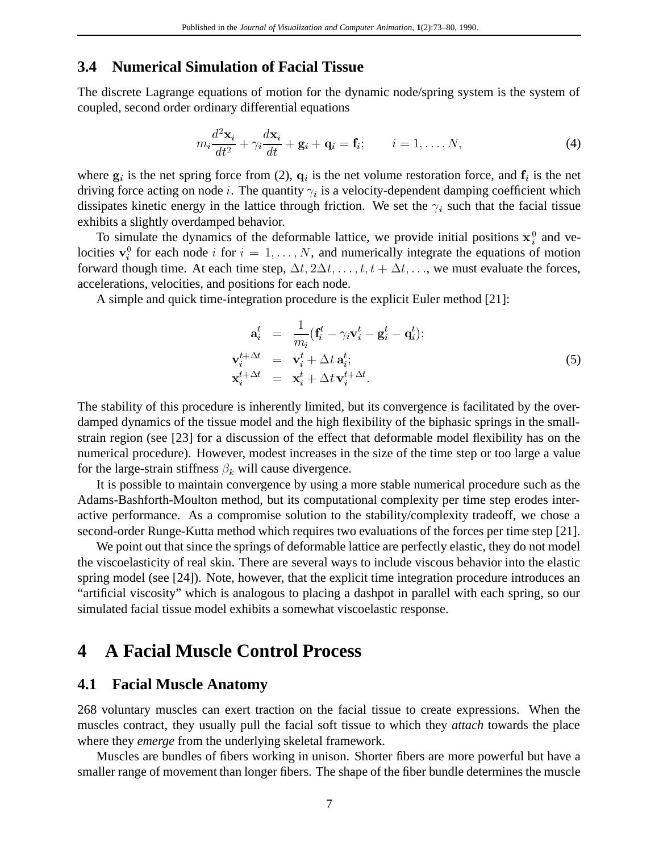### **3.4 Numerical Simulation of Facial Tissue**

The discrete Lagrange equations of motion for the dynamic node/spring system is the system of coupled, second order ordinary differential equations

$$
m_i \frac{d^2 \mathbf{x}_i}{dt^2} + \gamma_i \frac{d \mathbf{x}_i}{dt} + \mathbf{g}_i + \mathbf{q}_i = \mathbf{f}_i; \qquad i = 1, \dots, N,
$$
 (4)

where  $g_i$  is the net spring force from (2),  $q_i$  is the net volume restoration force, and  $f_i$  is the net driving force acting on node *i*. The quantity  $\gamma_i$  is a velocity-dependent damping coefficient which dissipates kinetic energy in the lattice through friction. We set the  $\gamma_i$  such that the facial tissue exhibits a slightly overdamped behavior.

To simulate the dynamics of the deformable lattice, we provide initial positions  $x_i^0$  and velocities  ${\bf v}_i^0$  for each node i for  $i = 1, \ldots, N$ , and numerically integrate the equations of motion forward though time. At each time step,  $\Delta t$ ,  $2\Delta t$ ,  $\ldots$ ,  $t$ ,  $t + \Delta t$ ,  $\ldots$ , we must evaluate the forces, accelerations, velocities, and positions for each node.

A simple and quick time-integration procedure is the explicit Euler method [21]:

$$
\mathbf{a}_{i}^{t} = \frac{1}{m_{i}} (\mathbf{f}_{i}^{t} - \gamma_{i} \mathbf{v}_{i}^{t} - \mathbf{g}_{i}^{t} - \mathbf{q}_{i}^{t});
$$
\n
$$
\mathbf{v}_{i}^{t + \Delta t} = \mathbf{v}_{i}^{t} + \Delta t \mathbf{a}_{i}^{t};
$$
\n
$$
\mathbf{x}_{i}^{t + \Delta t} = \mathbf{x}_{i}^{t} + \Delta t \mathbf{v}_{i}^{t + \Delta t}.
$$
\n(5)

The stability of this procedure is inherently limited, but its convergence is facilitated by the overdamped dynamics of the tissue model and the high flexibility of the biphasic springs in the smallstrain region (see [23] for a discussion of the effect that deformable model flexibility has on the numerical procedure). However, modest increases in the size of the time step or too large a value for the large-strain stiffness  $\beta_k$  will cause divergence.

It is possible to maintain convergence by using a more stable numerical procedure such as the Adams-Bashforth-Moulton method, but its computational complexity per time step erodes interactive performance. As a compromise solution to the stability/complexity tradeoff, we chose a second-order Runge-Kutta method which requires two evaluations of the forces per time step [21].

We point out that since the springs of deformable lattice are perfectly elastic, they do not model the viscoelasticity of real skin. There are several ways to include viscous behavior into the elastic spring model (see [24]). Note, however, that the explicit time integration procedure introduces an "artificial viscosity" which is analogous to placing a dashpot in parallel with each spring, so our simulated facial tissue model exhibits a somewhat viscoelastic response.

# **4 A Facial Muscle Control Process**

#### **4.1 Facial Muscle Anatomy**

268 voluntary muscles can exert traction on the facial tissue to create expressions. When the muscles contract, they usually pull the facial soft tissue to which they *attach* towards the place where they *emerge* from the underlying skeletal framework.

Muscles are bundles of fibers working in unison. Shorter fibers are more powerful but have a smaller range of movement than longer fibers. The shape of the fiber bundle determines the muscle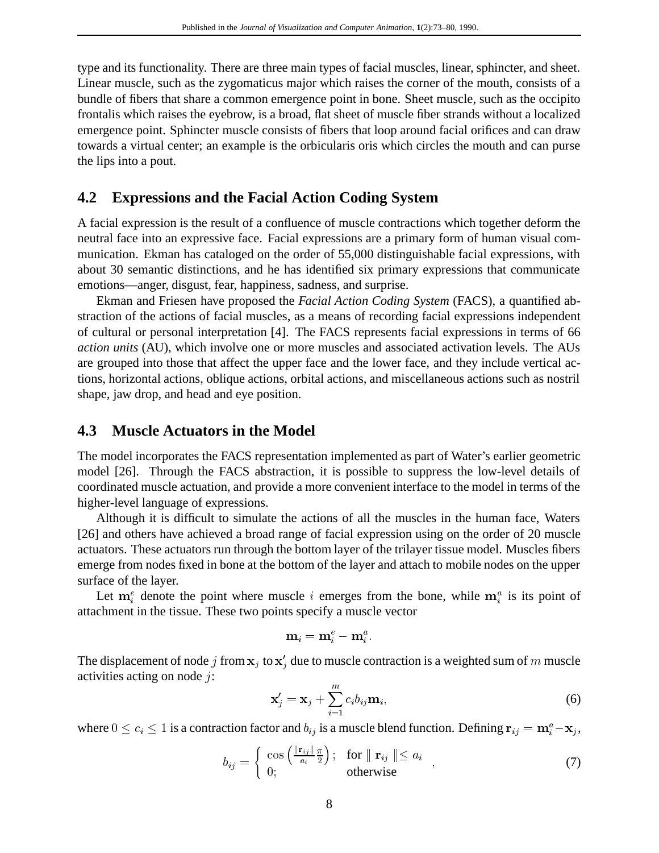type and its functionality. There are three main types of facial muscles, linear, sphincter, and sheet. Linear muscle, such as the zygomaticus major which raises the corner of the mouth, consists of a bundle of fibers that share a common emergence point in bone. Sheet muscle, such as the occipito frontalis which raises the eyebrow, is a broad, flat sheet of muscle fiber strands without a localized emergence point. Sphincter muscle consists of fibers that loop around facial orifices and can draw towards a virtual center; an example is the orbicularis oris which circles the mouth and can purse the lips into a pout.

#### **4.2 Expressions and the Facial Action Coding System**

A facial expression is the result of a confluence of muscle contractions which together deform the neutral face into an expressive face. Facial expressions are a primary form of human visual communication. Ekman has cataloged on the order of 55,000 distinguishable facial expressions, with about 30 semantic distinctions, and he has identified six primary expressions that communicate emotions—anger, disgust, fear, happiness, sadness, and surprise.

Ekman and Friesen have proposed the *Facial Action Coding System* (FACS), a quantified abstraction of the actions of facial muscles, as a means of recording facial expressions independent of cultural or personal interpretation [4]. The FACS represents facial expressions in terms of 66 *action units* (AU), which involve one or more muscles and associated activation levels. The AUs are grouped into those that affect the upper face and the lower face, and they include vertical actions, horizontal actions, oblique actions, orbital actions, and miscellaneous actions such as nostril shape, jaw drop, and head and eye position.

#### **4.3 Muscle Actuators in the Model**

The model incorporates the FACS representation implemented as part of Water's earlier geometric model [26]. Through the FACS abstraction, it is possible to suppress the low-level details of coordinated muscle actuation, and provide a more convenient interface to the model in terms of the higher-level language of expressions.

Although it is difficult to simulate the actions of all the muscles in the human face, Waters [26] and others have achieved a broad range of facial expression using on the order of 20 muscle actuators. These actuators run through the bottom layer of the trilayer tissue model. Muscles fibers emerge from nodes fixed in bone at the bottom of the layer and attach to mobile nodes on the upper surface of the layer.

Let  $m_i^e$  denote the point where muscle i emerges from the bone, while  $m_i^a$  is its point of attachment in the tissue. These two points specify a muscle vector

$$
\mathbf{m}_i = \mathbf{m}_i^e - \mathbf{m}_i^a.
$$

The displacement of node j from  $x_i$  to  $x'_i$  due to muscle contraction is a weighted sum of m muscle activities acting on node  $\hat{i}$ :

$$
\mathbf{x}'_j = \mathbf{x}_j + \sum_{i=1}^m c_i b_{ij} \mathbf{m}_i,\tag{6}
$$

where  $0 \le c_i \le 1$  is a contraction factor and  $b_{ij}$  is a muscle blend function. Defining  $\mathbf{r}_{ij} = \mathbf{m}_i^a - \mathbf{x}_j$ ,

$$
b_{ij} = \begin{cases} \cos\left(\frac{\|\mathbf{r}_{ij}\|}{a_i}\frac{\pi}{2}\right); & \text{for } \|\mathbf{r}_{ij}\| \le a_i \\ 0; & \text{otherwise} \end{cases} , \tag{7}
$$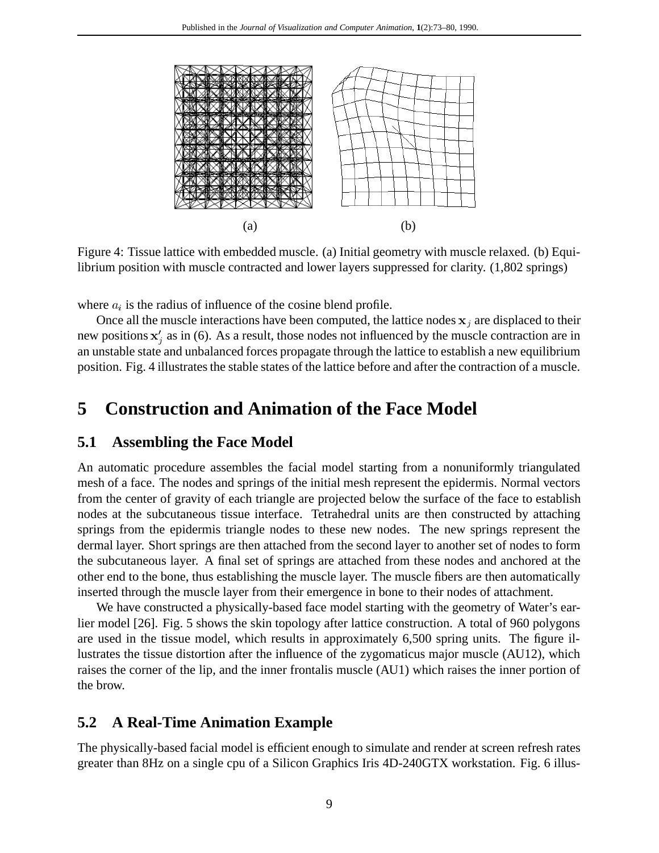

Figure 4: Tissue lattice with embedded muscle. (a) Initial geometry with muscle relaxed. (b) Equilibrium position with muscle contracted and lower layers suppressed for clarity. (1,802 springs)

where  $a_i$  is the radius of influence of the cosine blend profile.

Once all the muscle interactions have been computed, the lattice nodes  $x_i$  are displaced to their new positions  $x'_i$  as in (6). As a result, those nodes not influenced by the muscle contraction are in an unstable state and unbalanced forces propagate through the lattice to establish a new equilibrium position. Fig. 4 illustrates the stable states of the lattice before and after the contraction of a muscle.

# **5 Construction and Animation of the Face Model**

### **5.1 Assembling the Face Model**

An automatic procedure assembles the facial model starting from a nonuniformly triangulated mesh of a face. The nodes and springs of the initial mesh represent the epidermis. Normal vectors from the center of gravity of each triangle are projected below the surface of the face to establish nodes at the subcutaneous tissue interface. Tetrahedral units are then constructed by attaching springs from the epidermis triangle nodes to these new nodes. The new springs represent the dermal layer. Short springs are then attached from the second layer to another set of nodes to form the subcutaneous layer. A final set of springs are attached from these nodes and anchored at the other end to the bone, thus establishing the muscle layer. The muscle fibers are then automatically inserted through the muscle layer from their emergence in bone to their nodes of attachment.

We have constructed a physically-based face model starting with the geometry of Water's earlier model [26]. Fig. 5 shows the skin topology after lattice construction. A total of 960 polygons are used in the tissue model, which results in approximately 6,500 spring units. The figure illustrates the tissue distortion after the influence of the zygomaticus major muscle (AU12), which raises the corner of the lip, and the inner frontalis muscle (AU1) which raises the inner portion of the brow.

### **5.2 A Real-Time Animation Example**

The physically-based facial model is efficient enough to simulate and render at screen refresh rates greater than 8Hz on a single cpu of a Silicon Graphics Iris 4D-240GTX workstation. Fig. 6 illus-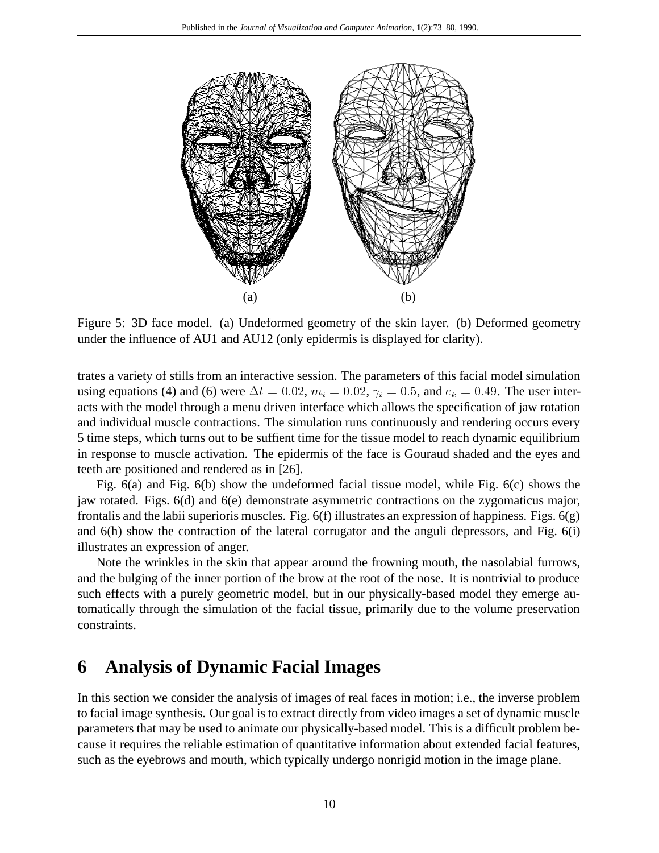

Figure 5: 3D face model. (a) Undeformed geometry of the skin layer. (b) Deformed geometry under the influence of AU1 and AU12 (only epidermis is displayed for clarity).

trates a variety of stills from an interactive session. The parameters of this facial model simulation using equations (4) and (6) were  $\Delta t = 0.02$ ,  $m_i = 0.02$ ,  $\gamma_i = 0.5$ , and  $c_k = 0.49$ . The user interacts with the model through a menu driven interface which allows the specification of jaw rotation and individual muscle contractions. The simulation runs continuously and rendering occurs every 5 time steps, which turns out to be suffient time for the tissue model to reach dynamic equilibrium in response to muscle activation. The epidermis of the face is Gouraud shaded and the eyes and teeth are positioned and rendered as in [26].

Fig. 6(a) and Fig. 6(b) show the undeformed facial tissue model, while Fig. 6(c) shows the jaw rotated. Figs. 6(d) and 6(e) demonstrate asymmetric contractions on the zygomaticus major, frontalis and the labii superioris muscles. Fig.  $6(f)$  illustrates an expression of happiness. Figs.  $6(g)$ and 6(h) show the contraction of the lateral corrugator and the anguli depressors, and Fig. 6(i) illustrates an expression of anger.

Note the wrinkles in the skin that appear around the frowning mouth, the nasolabial furrows, and the bulging of the inner portion of the brow at the root of the nose. It is nontrivial to produce such effects with a purely geometric model, but in our physically-based model they emerge automatically through the simulation of the facial tissue, primarily due to the volume preservation constraints.

# **6 Analysis of Dynamic Facial Images**

In this section we consider the analysis of images of real faces in motion; i.e., the inverse problem to facial image synthesis. Our goal is to extract directly from video images a set of dynamic muscle parameters that may be used to animate our physically-based model. This is a difficult problem because it requires the reliable estimation of quantitative information about extended facial features, such as the eyebrows and mouth, which typically undergo nonrigid motion in the image plane.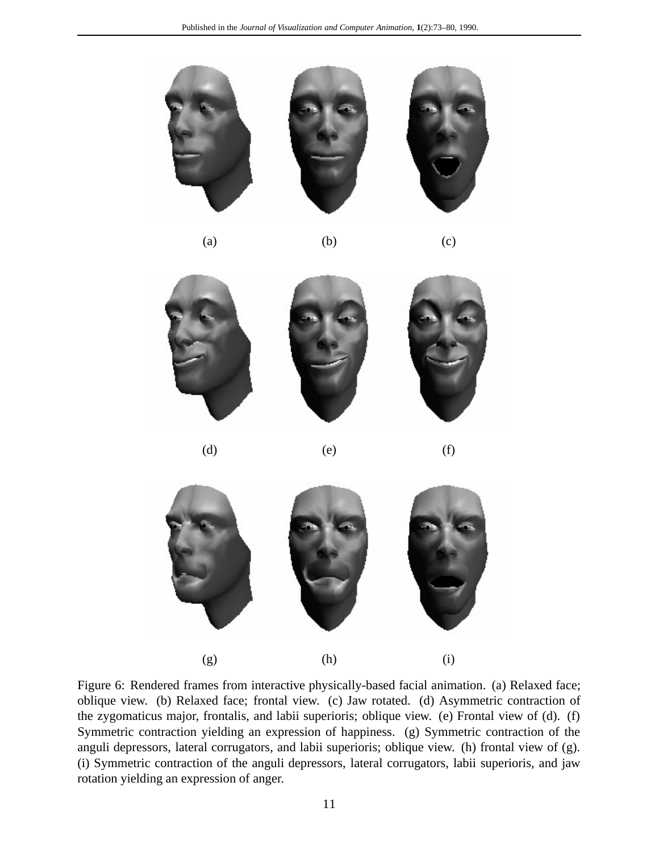

(a)  $(b)$  (c)



(d)  $(e)$  (f)



Figure 6: Rendered frames from interactive physically-based facial animation. (a) Relaxed face; oblique view. (b) Relaxed face; frontal view. (c) Jaw rotated. (d) Asymmetric contraction of the zygomaticus major, frontalis, and labii superioris; oblique view. (e) Frontal view of (d). (f) Symmetric contraction yielding an expression of happiness. (g) Symmetric contraction of the anguli depressors, lateral corrugators, and labii superioris; oblique view. (h) frontal view of (g). (i) Symmetric contraction of the anguli depressors, lateral corrugators, labii superioris, and jaw rotation yielding an expression of anger.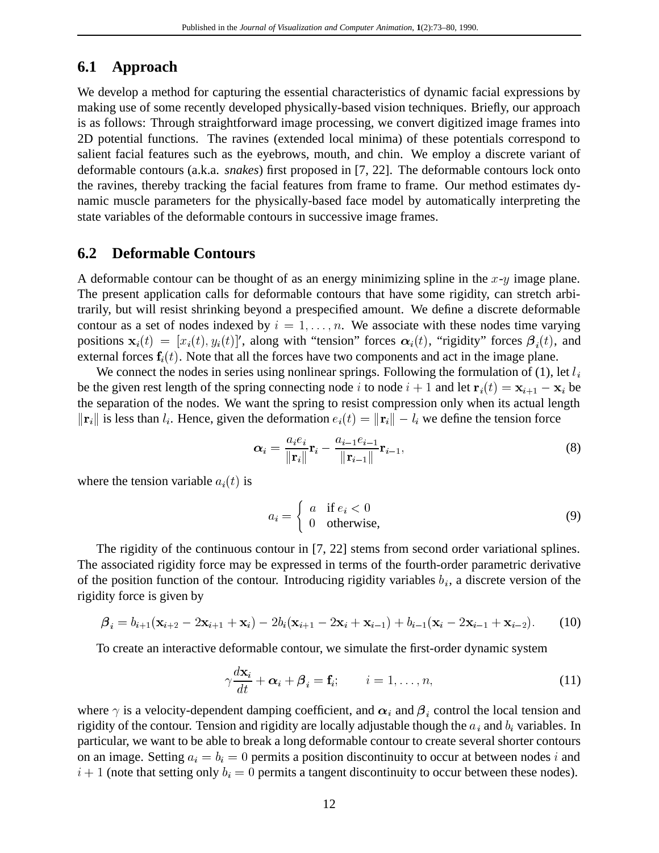### **6.1 Approach**

We develop a method for capturing the essential characteristics of dynamic facial expressions by making use of some recently developed physically-based vision techniques. Briefly, our approach is as follows: Through straightforward image processing, we convert digitized image frames into 2D potential functions. The ravines (extended local minima) of these potentials correspond to salient facial features such as the eyebrows, mouth, and chin. We employ a discrete variant of deformable contours (a.k.a. *snakes*) first proposed in [7, 22]. The deformable contours lock onto the ravines, thereby tracking the facial features from frame to frame. Our method estimates dynamic muscle parameters for the physically-based face model by automatically interpreting the state variables of the deformable contours in successive image frames.

### **6.2 Deformable Contours**

A deformable contour can be thought of as an energy minimizing spline in the  $x-y$  image plane. The present application calls for deformable contours that have some rigidity, can stretch arbitrarily, but will resist shrinking beyond a prespecified amount. We define a discrete deformable contour as a set of nodes indexed by  $i = 1, \ldots, n$ . We associate with these nodes time varying positions  $\mathbf{x}_i(t) = [x_i(t), y_i(t)]'$ , along with "tension" forces  $\boldsymbol{\alpha}_i(t)$ , "rigidity" forces  $\boldsymbol{\beta}_i(t)$ , and external forces  $f_i(t)$ . Note that all the forces have two components and act in the image plane.

We connect the nodes in series using nonlinear springs. Following the formulation of (1), let  $l_i$ be the given rest length of the spring connecting node i to node  $i + 1$  and let  $\mathbf{r}_i(t) = \mathbf{x}_{i+1} - \mathbf{x}_i$  be the separation of the nodes. We want the spring to resist compression only when its actual length  $\|\mathbf{r}_i\|$  is less than  $l_i$ . Hence, given the deformation  $e_i(t)=\|\mathbf{r}_i\|-l_i$  we define the tension force

$$
\boldsymbol{\alpha}_i = \frac{a_i e_i}{\|\mathbf{r}_i\|} \mathbf{r}_i - \frac{a_{i-1} e_{i-1}}{\|\mathbf{r}_{i-1}\|} \mathbf{r}_{i-1},
$$
\n(8)

where the tension variable  $a_i(t)$  is

$$
a_i = \begin{cases} a & \text{if } e_i < 0 \\ 0 & \text{otherwise,} \end{cases}
$$
 (9)

The rigidity of the continuous contour in [7, 22] stems from second order variational splines. The associated rigidity force may be expressed in terms of the fourth-order parametric derivative of the position function of the contour. Introducing rigidity variables  $b_i$ , a discrete version of the rigidity force is given by

$$
\boldsymbol{\beta}_i = b_{i+1}(\mathbf{x}_{i+2} - 2\mathbf{x}_{i+1} + \mathbf{x}_i) - 2b_i(\mathbf{x}_{i+1} - 2\mathbf{x}_i + \mathbf{x}_{i-1}) + b_{i-1}(\mathbf{x}_i - 2\mathbf{x}_{i-1} + \mathbf{x}_{i-2}).
$$
 (10)

To create an interactive deformable contour, we simulate the first-order dynamic system

$$
\gamma \frac{d\mathbf{x}_i}{dt} + \boldsymbol{\alpha}_i + \boldsymbol{\beta}_i = \mathbf{f}_i; \qquad i = 1, \dots, n,
$$
\n(11)

where  $\gamma$  is a velocity-dependent damping coefficient, and  $\alpha_i$  and  $\beta_i$  control the local tension and rigidity of the contour. Tension and rigidity are locally adjustable though the  $a_i$  and  $b_i$  variables. In particular, we want to be able to break a long deformable contour to create several shorter contours on an image. Setting  $a_i = b_i = 0$  permits a position discontinuity to occur at between nodes i and  $i + 1$  (note that setting only  $b_i = 0$  permits a tangent discontinuity to occur between these nodes).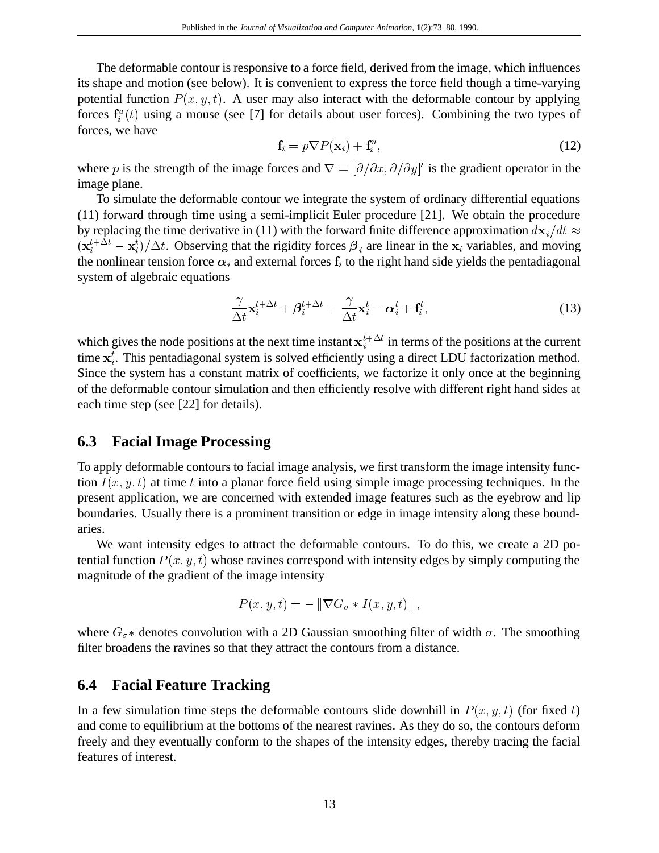The deformable contour is responsive to a force field, derived from the image, which influences its shape and motion (see below). It is convenient to express the force field though a time-varying potential function  $P(x, y, t)$ . A user may also interact with the deformable contour by applying forces  $f_i^u(t)$  using a mouse (see [7] for details about user forces). Combining the two types of forces, we have

$$
\mathbf{f}_i = p \nabla P(\mathbf{x}_i) + \mathbf{f}_i^u,\tag{12}
$$

where p is the strength of the image forces and  $\nabla = [\partial/\partial x, \partial/\partial y]'$  is the gradient operator in the image plane.

To simulate the deformable contour we integrate the system of ordinary differential equations (11) forward through time using a semi-implicit Euler procedure [21]. We obtain the procedure by replacing the time derivative in (11) with the forward finite difference approximation  $d\mathbf{x}_i/dt \approx$  $(\mathbf{x}_i^{t+\Delta t} - \mathbf{x}_i^t)/\Delta t$ . Observing that the rigidity forces  $\boldsymbol{\beta}_i$  are linear in the  $\mathbf{x}_i$  variables, and moving the nonlinear tension force  $\alpha_i$  and external forces  $f_i$  to the right hand side yields the pentadiagonal system of algebraic equations

$$
\frac{\gamma}{\Delta t} \mathbf{x}_i^{t + \Delta t} + \boldsymbol{\beta}_i^{t + \Delta t} = \frac{\gamma}{\Delta t} \mathbf{x}_i^t - \boldsymbol{\alpha}_i^t + \mathbf{f}_i^t,
$$
\n(13)

which gives the node positions at the next time instant  $x_i^{t + \Delta t}$  in terms of the positions at the current time  $x_i^t$ . This pentadiagonal system is solved efficiently using a direct LDU factorization method. Since the system has a constant matrix of coefficients, we factorize it only once at the beginning of the deformable contour simulation and then efficiently resolve with different right hand sides at each time step (see [22] for details).

### **6.3 Facial Image Processing**

To apply deformable contours to facial image analysis, we first transform the image intensity function  $I(x, y, t)$  at time t into a planar force field using simple image processing techniques. In the present application, we are concerned with extended image features such as the eyebrow and lip boundaries. Usually there is a prominent transition or edge in image intensity along these boundaries.

We want intensity edges to attract the deformable contours. To do this, we create a 2D potential function  $P(x, y, t)$  whose ravines correspond with intensity edges by simply computing the magnitude of the gradient of the image intensity

$$
P(x, y, t) = -\left\|\nabla G_{\sigma} * I(x, y, t)\right\|,
$$

where  $G_{\sigma^*}$  denotes convolution with a 2D Gaussian smoothing filter of width  $\sigma$ . The smoothing filter broadens the ravines so that they attract the contours from a distance.

### **6.4 Facial Feature Tracking**

In a few simulation time steps the deformable contours slide downhill in  $P(x, y, t)$  (for fixed t) and come to equilibrium at the bottoms of the nearest ravines. As they do so, the contours deform freely and they eventually conform to the shapes of the intensity edges, thereby tracing the facial features of interest.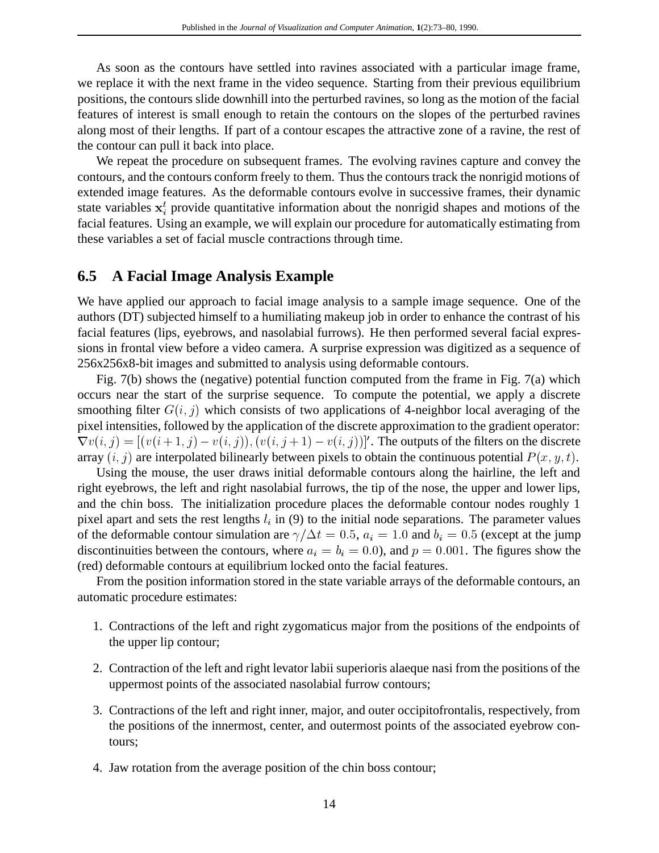As soon as the contours have settled into ravines associated with a particular image frame, we replace it with the next frame in the video sequence. Starting from their previous equilibrium positions, the contours slide downhill into the perturbed ravines, so long as the motion of the facial features of interest is small enough to retain the contours on the slopes of the perturbed ravines along most of their lengths. If part of a contour escapes the attractive zone of a ravine, the rest of the contour can pull it back into place.

We repeat the procedure on subsequent frames. The evolving ravines capture and convey the contours, and the contours conform freely to them. Thus the contours track the nonrigid motions of extended image features. As the deformable contours evolve in successive frames, their dynamic state variables  $x_i^t$  provide quantitative information about the nonrigid shapes and motions of the facial features. Using an example, we will explain our procedure for automatically estimating from these variables a set of facial muscle contractions through time.

#### **6.5 A Facial Image Analysis Example**

We have applied our approach to facial image analysis to a sample image sequence. One of the authors (DT) subjected himself to a humiliating makeup job in order to enhance the contrast of his facial features (lips, eyebrows, and nasolabial furrows). He then performed several facial expressions in frontal view before a video camera. A surprise expression was digitized as a sequence of 256x256x8-bit images and submitted to analysis using deformable contours.

Fig. 7(b) shows the (negative) potential function computed from the frame in Fig. 7(a) which occurs near the start of the surprise sequence. To compute the potential, we apply a discrete smoothing filter  $G(i, j)$  which consists of two applications of 4-neighbor local averaging of the pixel intensities, followed by the application of the discrete approximation to the gradient operator:  $\nabla v(i, j) = [(v(i+1, j) - v(i, j)), (v(i, j+1) - v(i, j))]$ . The outputs of the filters on the discrete array  $(i, j)$  are interpolated bilinearly between pixels to obtain the continuous potential  $P(x, y, t)$ .

Using the mouse, the user draws initial deformable contours along the hairline, the left and right eyebrows, the left and right nasolabial furrows, the tip of the nose, the upper and lower lips, and the chin boss. The initialization procedure places the deformable contour nodes roughly 1 pixel apart and sets the rest lengths  $l_i$  in (9) to the initial node separations. The parameter values of the deformable contour simulation are  $\gamma/\Delta t = 0.5$ ,  $a_i = 1.0$  and  $b_i = 0.5$  (except at the jump discontinuities between the contours, where  $a_i = b_i = 0.0$ , and  $p = 0.001$ . The figures show the (red) deformable contours at equilibrium locked onto the facial features.

From the position information stored in the state variable arrays of the deformable contours, an automatic procedure estimates:

- 1. Contractions of the left and right zygomaticus major from the positions of the endpoints of the upper lip contour;
- 2. Contraction of the left and right levator labii superioris alaeque nasi from the positions of the uppermost points of the associated nasolabial furrow contours;
- 3. Contractions of the left and right inner, major, and outer occipitofrontalis, respectively, from the positions of the innermost, center, and outermost points of the associated eyebrow contours;
- 4. Jaw rotation from the average position of the chin boss contour;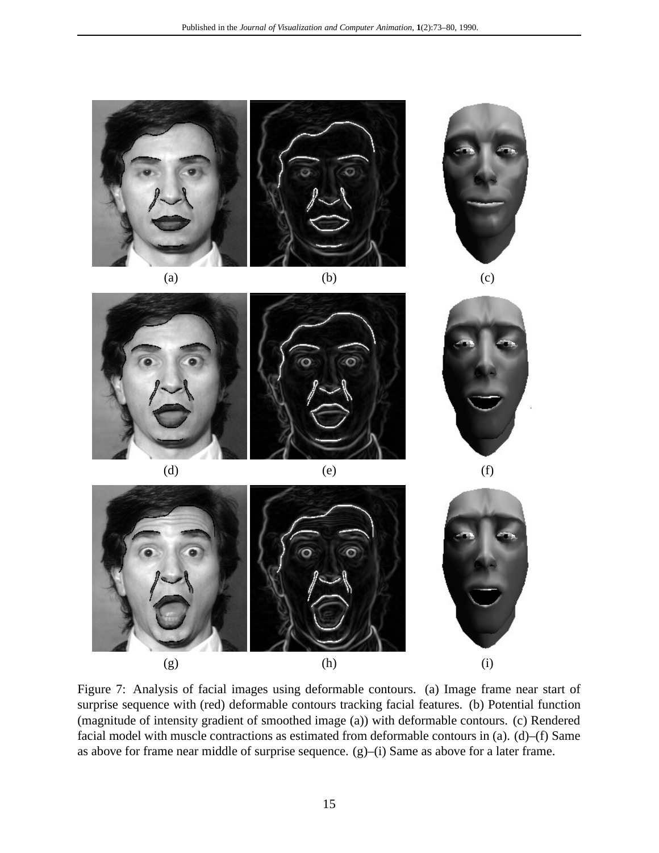

Figure 7: Analysis of facial images using deformable contours. (a) Image frame near start of surprise sequence with (red) deformable contours tracking facial features. (b) Potential function (magnitude of intensity gradient of smoothed image (a)) with deformable contours. (c) Rendered facial model with muscle contractions as estimated from deformable contours in (a). (d)–(f) Same as above for frame near middle of surprise sequence. (g)–(i) Same as above for a later frame.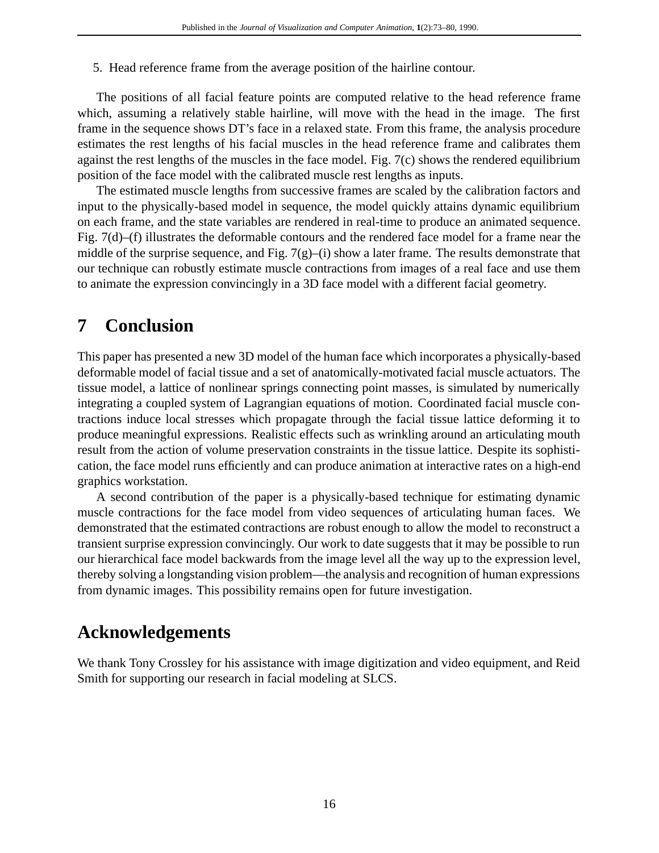5. Head reference frame from the average position of the hairline contour.

The positions of all facial feature points are computed relative to the head reference frame which, assuming a relatively stable hairline, will move with the head in the image. The first frame in the sequence shows DT's face in a relaxed state. From this frame, the analysis procedure estimates the rest lengths of his facial muscles in the head reference frame and calibrates them against the rest lengths of the muscles in the face model. Fig. 7(c) shows the rendered equilibrium position of the face model with the calibrated muscle rest lengths as inputs.

The estimated muscle lengths from successive frames are scaled by the calibration factors and input to the physically-based model in sequence, the model quickly attains dynamic equilibrium on each frame, and the state variables are rendered in real-time to produce an animated sequence. Fig. 7(d)–(f) illustrates the deformable contours and the rendered face model for a frame near the middle of the surprise sequence, and Fig.  $7(g)$ –(i) show a later frame. The results demonstrate that our technique can robustly estimate muscle contractions from images of a real face and use them to animate the expression convincingly in a 3D face model with a different facial geometry.

# **7 Conclusion**

This paper has presented a new 3D model of the human face which incorporates a physically-based deformable model of facial tissue and a set of anatomically-motivated facial muscle actuators. The tissue model, a lattice of nonlinear springs connecting point masses, is simulated by numerically integrating a coupled system of Lagrangian equations of motion. Coordinated facial muscle contractions induce local stresses which propagate through the facial tissue lattice deforming it to produce meaningful expressions. Realistic effects such as wrinkling around an articulating mouth result from the action of volume preservation constraints in the tissue lattice. Despite its sophistication, the face model runs efficiently and can produce animation at interactive rates on a high-end graphics workstation.

A second contribution of the paper is a physically-based technique for estimating dynamic muscle contractions for the face model from video sequences of articulating human faces. We demonstrated that the estimated contractions are robust enough to allow the model to reconstruct a transient surprise expression convincingly. Our work to date suggests that it may be possible to run our hierarchical face model backwards from the image level all the way up to the expression level, thereby solving a longstanding vision problem—the analysis and recognition of human expressions from dynamic images. This possibility remains open for future investigation.

# **Acknowledgements**

We thank Tony Crossley for his assistance with image digitization and video equipment, and Reid Smith for supporting our research in facial modeling at SLCS.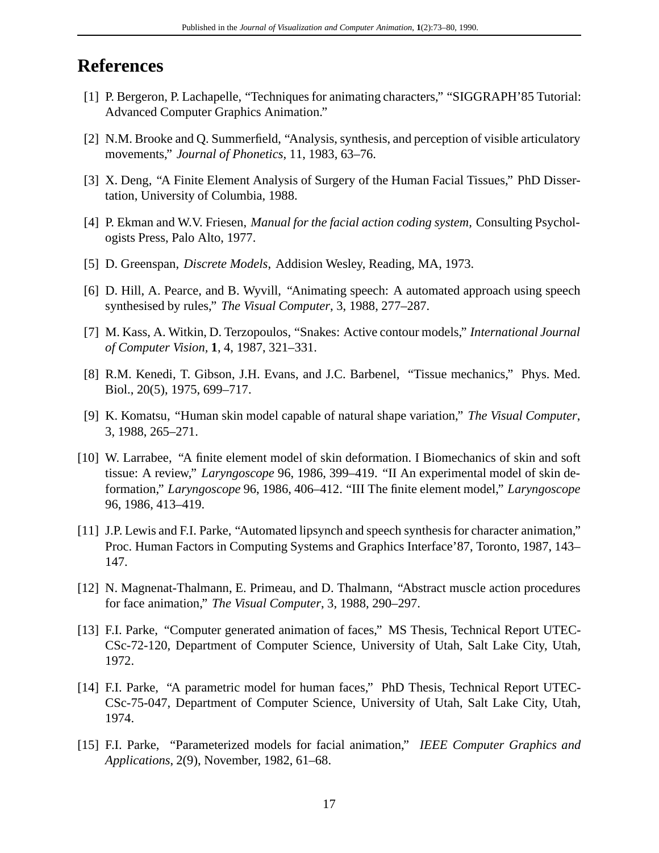# **References**

- [1] P. Bergeron, P. Lachapelle, "Techniques for animating characters," "SIGGRAPH'85 Tutorial: Advanced Computer Graphics Animation."
- [2] N.M. Brooke and Q. Summerfield, "Analysis, synthesis, and perception of visible articulatory movements," *Journal of Phonetics*, 11, 1983, 63–76.
- [3] X. Deng, "A Finite Element Analysis of Surgery of the Human Facial Tissues," PhD Dissertation, University of Columbia, 1988.
- [4] P. Ekman and W.V. Friesen, *Manual for the facial action coding system,* Consulting Psychologists Press, Palo Alto, 1977.
- [5] D. Greenspan, *Discrete Models*, Addision Wesley, Reading, MA, 1973.
- [6] D. Hill, A. Pearce, and B. Wyvill, "Animating speech: A automated approach using speech synthesised by rules," *The Visual Computer*, 3, 1988, 277–287.
- [7] M. Kass, A. Witkin, D. Terzopoulos, "Snakes: Active contour models," *International Journal of Computer Vision,* **1**, 4, 1987, 321–331.
- [8] R.M. Kenedi, T. Gibson, J.H. Evans, and J.C. Barbenel, "Tissue mechanics," Phys. Med. Biol., 20(5), 1975, 699–717.
- [9] K. Komatsu, "Human skin model capable of natural shape variation," *The Visual Computer*, 3, 1988, 265–271.
- [10] W. Larrabee, "A finite element model of skin deformation. I Biomechanics of skin and soft tissue: A review," *Laryngoscope* 96, 1986, 399–419. "II An experimental model of skin deformation," *Laryngoscope* 96, 1986, 406–412. "III The finite element model," *Laryngoscope* 96, 1986, 413–419.
- [11] J.P. Lewis and F.I. Parke, "Automated lipsynch and speech synthesis for character animation," Proc. Human Factors in Computing Systems and Graphics Interface'87, Toronto, 1987, 143– 147.
- [12] N. Magnenat-Thalmann, E. Primeau, and D. Thalmann, "Abstract muscle action procedures for face animation," *The Visual Computer*, 3, 1988, 290–297.
- [13] F.I. Parke, "Computer generated animation of faces," MS Thesis, Technical Report UTEC-CSc-72-120, Department of Computer Science, University of Utah, Salt Lake City, Utah, 1972.
- [14] F.I. Parke, "A parametric model for human faces," PhD Thesis, Technical Report UTEC-CSc-75-047, Department of Computer Science, University of Utah, Salt Lake City, Utah, 1974.
- [15] F.I. Parke, "Parameterized models for facial animation," *IEEE Computer Graphics and Applications*, 2(9), November, 1982, 61–68.